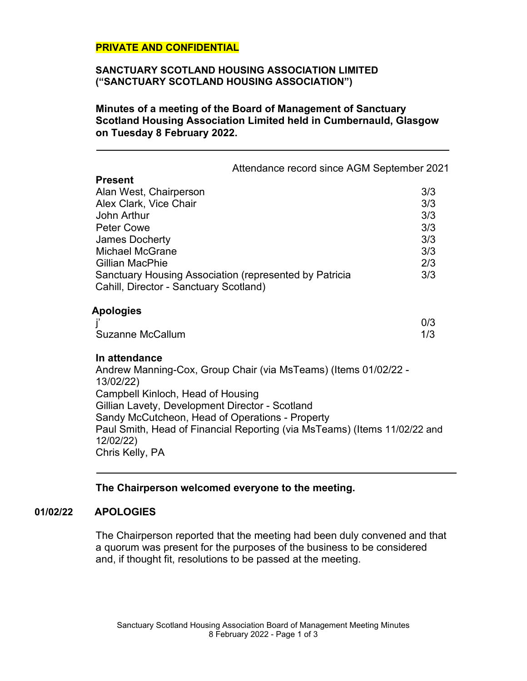# **PRIVATE AND CONFIDENTIAL**

### **SANCTUARY SCOTLAND HOUSING ASSOCIATION LIMITED ("SANCTUARY SCOTLAND HOUSING ASSOCIATION")**

**Minutes of a meeting of the Board of Management of Sanctuary Scotland Housing Association Limited held in Cumbernauld, Glasgow on Tuesday 8 February 2022.**

|                                                                                                  | Attendance record since AGM September 2021                                |
|--------------------------------------------------------------------------------------------------|---------------------------------------------------------------------------|
| <b>Present</b>                                                                                   |                                                                           |
| Alan West, Chairperson                                                                           | 3/3                                                                       |
| Alex Clark, Vice Chair                                                                           | 3/3                                                                       |
| John Arthur                                                                                      | 3/3                                                                       |
| <b>Peter Cowe</b>                                                                                | 3/3                                                                       |
| <b>James Docherty</b>                                                                            | 3/3                                                                       |
| <b>Michael McGrane</b><br><b>Gillian MacPhie</b>                                                 | 3/3                                                                       |
|                                                                                                  | 2/3<br>3/3                                                                |
| Sanctuary Housing Association (represented by Patricia<br>Cahill, Director - Sanctuary Scotland) |                                                                           |
| <b>Apologies</b>                                                                                 |                                                                           |
|                                                                                                  | 0/3                                                                       |
| <b>Suzanne McCallum</b>                                                                          | 1/3                                                                       |
| In attendance                                                                                    |                                                                           |
| 13/02/22)                                                                                        | Andrew Manning-Cox, Group Chair (via MsTeams) (Items 01/02/22 -           |
| Campbell Kinloch, Head of Housing                                                                |                                                                           |
| Gillian Lavety, Development Director - Scotland                                                  |                                                                           |
| Sandy McCutcheon, Head of Operations - Property                                                  |                                                                           |
|                                                                                                  | Paul Smith, Head of Financial Reporting (via MsTeams) (Items 11/02/22 and |
| 12/02/22)                                                                                        |                                                                           |
| Chris Kelly, PA                                                                                  |                                                                           |

# **The Chairperson welcomed everyone to the meeting.**

# **01/02/22 APOLOGIES**

The Chairperson reported that the meeting had been duly convened and that a quorum was present for the purposes of the business to be considered and, if thought fit, resolutions to be passed at the meeting.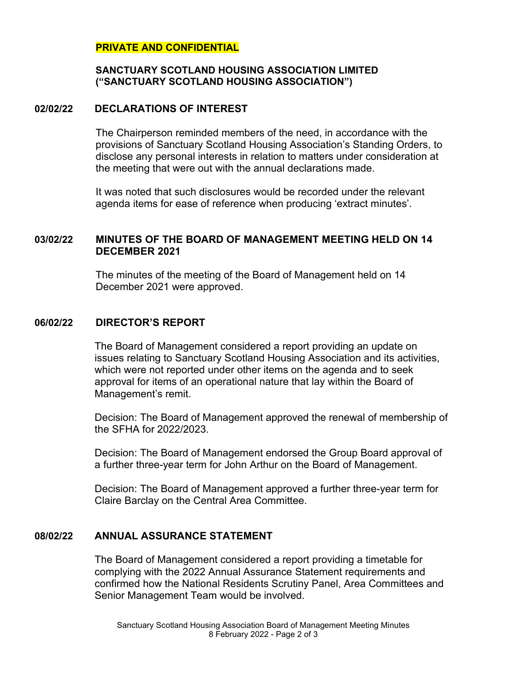# **PRIVATE AND CONFIDENTIAL**

# **SANCTUARY SCOTLAND HOUSING ASSOCIATION LIMITED ("SANCTUARY SCOTLAND HOUSING ASSOCIATION")**

### **02/02/22 DECLARATIONS OF INTEREST**

The Chairperson reminded members of the need, in accordance with the provisions of Sanctuary Scotland Housing Association's Standing Orders, to disclose any personal interests in relation to matters under consideration at the meeting that were out with the annual declarations made.

It was noted that such disclosures would be recorded under the relevant agenda items for ease of reference when producing 'extract minutes'.

# **03/02/22 MINUTES OF THE BOARD OF MANAGEMENT MEETING HELD ON 14 DECEMBER 2021**

The minutes of the meeting of the Board of Management held on 14 December 2021 were approved.

# **06/02/22 DIRECTOR'S REPORT**

The Board of Management considered a report providing an update on issues relating to Sanctuary Scotland Housing Association and its activities, which were not reported under other items on the agenda and to seek approval for items of an operational nature that lay within the Board of Management's remit.

Decision: The Board of Management approved the renewal of membership of the SFHA for 2022/2023.

Decision: The Board of Management endorsed the Group Board approval of a further three-year term for John Arthur on the Board of Management.

Decision: The Board of Management approved a further three-year term for Claire Barclay on the Central Area Committee.

# **08/02/22 ANNUAL ASSURANCE STATEMENT**

The Board of Management considered a report providing a timetable for complying with the 2022 Annual Assurance Statement requirements and confirmed how the National Residents Scrutiny Panel, Area Committees and Senior Management Team would be involved.